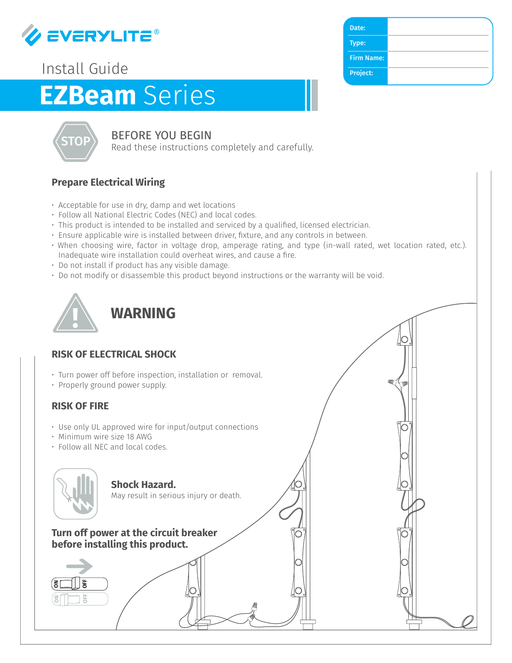

## Install Guide

# **EZBeam** Series



### BEFORE YOU BEGIN

Read these instructions completely and carefully.

#### **Prepare Electrical Wiring**

- Acceptable for use in dry, damp and wet locations
- Follow all National Electric Codes (NEC) and local codes.
- This product is intended to be installed and serviced by a qualified, licensed electrician.
- Ensure applicable wire is installed between driver, fixture, and any controls in between.
- When choosing wire, factor in voltage drop, amperage rating, and type (in-wall rated, wet location rated, etc.). Inadequate wire installation could overheat wires, and cause a fire.
- Do not install if product has any visible damage.
- Do not modify or disassemble this product beyond instructions or the warranty will be void.



#### **RISK OF ELECTRICAL SHOCK**

- Turn power off before inspection, installation or removal.
- Properly ground power supply.

#### **RISK OF FIRE**

- Use only UL approved wire for input/output connections
- Minimum wire size 18 AWG
- Follow all NEC and local codes.



**Shock Hazard.**  May result in serious injury or death.

#### **Turn off power at the circuit breaker before installing this product.**



| Date:             |  |
|-------------------|--|
| Type:             |  |
| <b>Firm Name:</b> |  |
| Project:          |  |
|                   |  |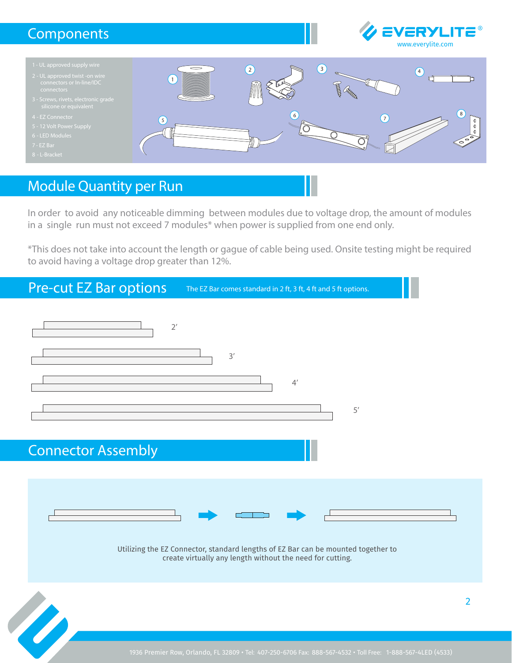## **Components**





## Module Quantity per Run

In order to avoid any noticeable dimming between modules due to voltage drop, the amount of modules in a single run must not exceed 7 modules\* when power is supplied from one end only.

\*This does not take into account the length or gague of cable being used. Onsite testing might be required to avoid having a voltage drop greater than 12%.

## Pre-cut EZ Bar options

The EZ Bar comes standard in 2 ft, 3 ft, 4 ft and 5 ft options.

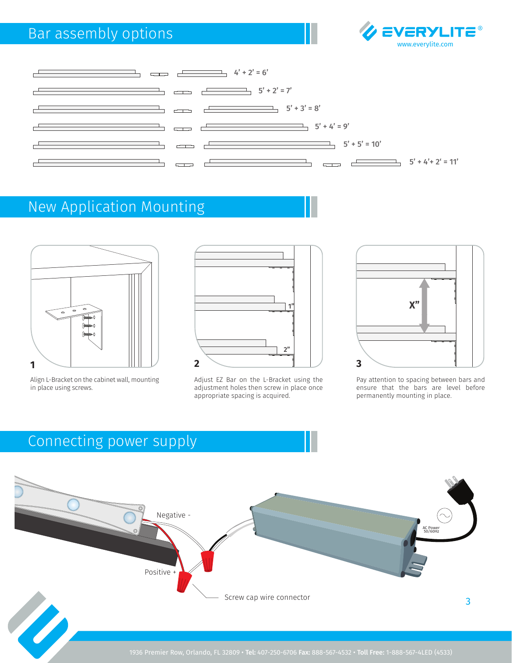# Bar assembly options





# New Application Mounting



Align L-Bracket on the cabinet wall, mounting in place using screws.



Adjust EZ Bar on the L-Bracket using the adjustment holes then screw in place once appropriate spacing is acquired.



Pay attention to spacing between bars and ensure that the bars are level before permanently mounting in place.

3

# Connecting power supply